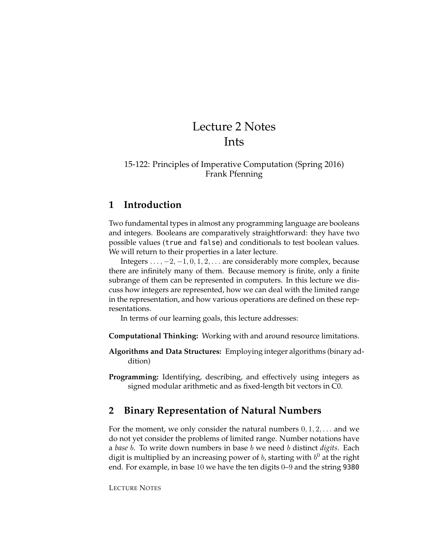# Lecture 2 Notes Ints

### 15-122: Principles of Imperative Computation (Spring 2016) Frank Pfenning

# **1 Introduction**

Two fundamental types in almost any programming language are booleans and integers. Booleans are comparatively straightforward: they have two possible values (true and false) and conditionals to test boolean values. We will return to their properties in a later lecture.

Integers  $\dots$ ,  $-2$ ,  $-1$ ,  $0$ ,  $1$ ,  $2$ ,  $\dots$  are considerably more complex, because there are infinitely many of them. Because memory is finite, only a finite subrange of them can be represented in computers. In this lecture we discuss how integers are represented, how we can deal with the limited range in the representation, and how various operations are defined on these representations.

In terms of our learning goals, this lecture addresses:

**Computational Thinking:** Working with and around resource limitations.

**Algorithms and Data Structures:** Employing integer algorithms (binary addition)

**Programming:** Identifying, describing, and effectively using integers as signed modular arithmetic and as fixed-length bit vectors in C0.

## **2 Binary Representation of Natural Numbers**

For the moment, we only consider the natural numbers  $0, 1, 2, \ldots$  and we do not yet consider the problems of limited range. Number notations have a *base* b. To write down numbers in base b we need b distinct *digits*. Each digit is multiplied by an increasing power of  $b$ , starting with  $b^0$  at the right end. For example, in base 10 we have the ten digits 0–9 and the string 9380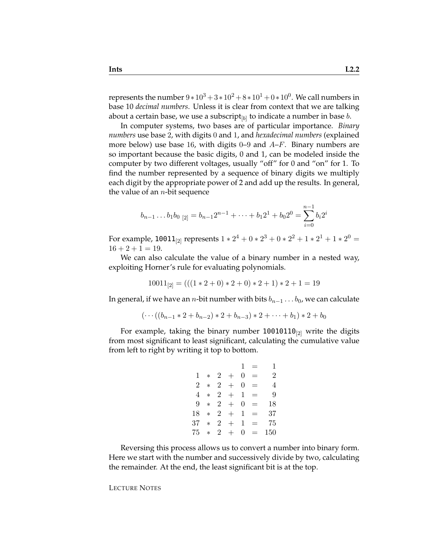represents the number  $9*10^3 + 3*10^2 + 8*10^1 + 0*10^0$ . We call numbers in base 10 *decimal numbers*. Unless it is clear from context that we are talking about a certain base, we use a subscript $_{[b]}$  to indicate a number in base  $b.$ 

In computer systems, two bases are of particular importance. *Binary numbers* use base 2, with digits 0 and 1, and *hexadecimal numbers* (explained more below) use base 16, with digits 0–9 and  $A-F$ . Binary numbers are so important because the basic digits, 0 and 1, can be modeled inside the computer by two different voltages, usually "off" for 0 and "on" for 1. To find the number represented by a sequence of binary digits we multiply each digit by the appropriate power of 2 and add up the results. In general, the value of an  $n$ -bit sequence

$$
b_{n-1} \dots b_1 b_0 \,_{[2]} = b_{n-1} 2^{n-1} + \dots + b_1 2^1 + b_0 2^0 = \sum_{i=0}^{n-1} b_i 2^i
$$

For example, 10011 $_{[2]}$  represents 1  $\ast$  2 $^4$  + 0  $\ast$  2 $^3$  + 0  $\ast$  2 $^2$  + 1  $\ast$  2 $^1$  + 1  $\ast$  2 $^0$  =  $16 + 2 + 1 = 19$ .

We can also calculate the value of a binary number in a nested way, exploiting Horner's rule for evaluating polynomials.

$$
10011_{[2]} = (((1 * 2 + 0) * 2 + 0) * 2 + 1) * 2 + 1 = 19
$$

In general, if we have an *n*-bit number with bits  $b_{n-1} \ldots b_0$ , we can calculate

$$
(\cdots((b_{n-1}*2+b_{n-2})*2+b_{n-3})*2+\cdots+b_1)*2+b_0
$$

For example, taking the binary number  $10010110_{[2]}$  write the digits from most significant to least significant, calculating the cumulative value from left to right by writing it top to bottom.

$$
1 = 1
$$
  
\n
$$
1 * 2 + 0 = 2
$$
  
\n
$$
2 * 2 + 0 = 4
$$
  
\n
$$
4 * 2 + 1 = 9
$$
  
\n
$$
9 * 2 + 0 = 18
$$
  
\n
$$
18 * 2 + 1 = 37
$$
  
\n
$$
37 * 2 + 1 = 75
$$
  
\n
$$
75 * 2 + 0 = 150
$$

Reversing this process allows us to convert a number into binary form. Here we start with the number and successively divide by two, calculating the remainder. At the end, the least significant bit is at the top.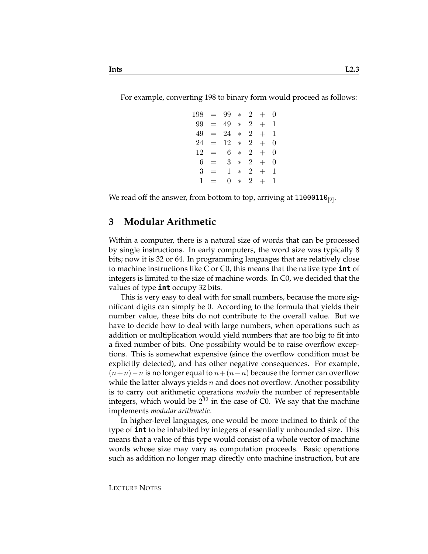For example, converting 198 to binary form would proceed as follows:

| 198 |          | $= 99$       |        |                | $\ast$ 2 + | 0 |
|-----|----------|--------------|--------|----------------|------------|---|
|     | $99 =$   | 49           | $\ast$ | $\overline{2}$ | $+$        | 1 |
| 49. | $=$      | 24           | $\ast$ |                | $2+$       | 1 |
| 24  | $\equiv$ | 12           |        | $* \t2 +$      |            | 0 |
| 12  | $=$ $-$  | 6            | $\ast$ | 2 <sup>7</sup> | $+$        | 0 |
| 6   | $=$      | $\mathbf{3}$ | $\ast$ |                | $2+$       | 0 |
| 3   | $=$      | 1            | $\ast$ |                | $2+$       | 1 |
| 1   | $\equiv$ | O            | $\ast$ | $\overline{2}$ | $+$        | 1 |

We read off the answer, from bottom to top, arriving at  $11000110_{[2]}$ .

#### **3 Modular Arithmetic**

Within a computer, there is a natural size of words that can be processed by single instructions. In early computers, the word size was typically 8 bits; now it is 32 or 64. In programming languages that are relatively close to machine instructions like C or C0, this means that the native type **int** of integers is limited to the size of machine words. In C0, we decided that the values of type **int** occupy 32 bits.

This is very easy to deal with for small numbers, because the more significant digits can simply be 0. According to the formula that yields their number value, these bits do not contribute to the overall value. But we have to decide how to deal with large numbers, when operations such as addition or multiplication would yield numbers that are too big to fit into a fixed number of bits. One possibility would be to raise overflow exceptions. This is somewhat expensive (since the overflow condition must be explicitly detected), and has other negative consequences. For example,  $(n+n)-n$  is no longer equal to  $n+(n-n)$  because the former can overflow while the latter always yields n and does not overflow. Another possibility is to carry out arithmetic operations *modulo* the number of representable integers, which would be  $2^{32}$  in the case of C0. We say that the machine implements *modular arithmetic*.

In higher-level languages, one would be more inclined to think of the type of **int** to be inhabited by integers of essentially unbounded size. This means that a value of this type would consist of a whole vector of machine words whose size may vary as computation proceeds. Basic operations such as addition no longer map directly onto machine instruction, but are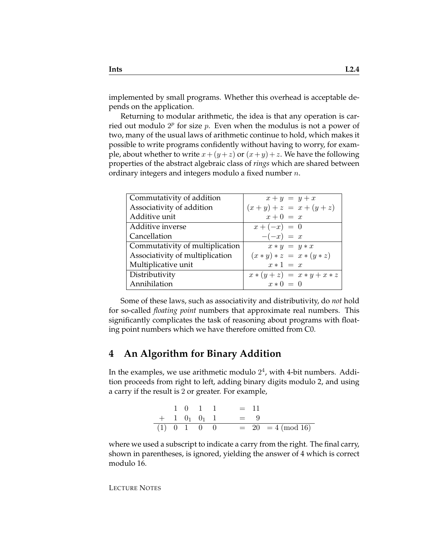implemented by small programs. Whether this overhead is acceptable depends on the application.

Returning to modular arithmetic, the idea is that any operation is carried out modulo  $2^p$  for size p. Even when the modulus is not a power of two, many of the usual laws of arithmetic continue to hold, which makes it possible to write programs confidently without having to worry, for example, about whether to write  $x + (y + z)$  or  $(x + y) + z$ . We have the following properties of the abstract algebraic class of *rings* which are shared between ordinary integers and integers modulo a fixed number n.

| Commutativity of addition       | $x + y = y + x$               |
|---------------------------------|-------------------------------|
| Associativity of addition       | $(x + y) + z = x + (y + z)$   |
| Additive unit                   | $x+0 = x$                     |
| Additive inverse                | $x + (-x) = 0$                |
| Cancellation                    | $-(-x) = x$                   |
| Commutativity of multiplication | $x * y = y * x$               |
| Associativity of multiplication | $(x * y) * z = x * (y * z)$   |
| Multiplicative unit             | $x * 1 = x$                   |
| Distributivity                  | $x * (y + z) = x * y + x * z$ |
| Annihilation                    | $x * 0 = 0$                   |

Some of these laws, such as associativity and distributivity, do *not* hold for so-called *floating point* numbers that approximate real numbers. This significantly complicates the task of reasoning about programs with floating point numbers which we have therefore omitted from C0.

# **4 An Algorithm for Binary Addition**

In the examples, we use arithmetic modulo  $2^4$ , with 4-bit numbers. Addition proceeds from right to left, adding binary digits modulo 2, and using a carry if the result is 2 or greater. For example,

|  |  | $1 \t0 \t1 \t1 = 11$                      |
|--|--|-------------------------------------------|
|  |  | $+$ 1 0 <sub>1</sub> 0 <sub>1</sub> 1 = 9 |
|  |  | (1) 0 1 0 0 = 20 = 4 (mod 16)             |

where we used a subscript to indicate a carry from the right. The final carry, shown in parentheses, is ignored, yielding the answer of 4 which is correct modulo 16.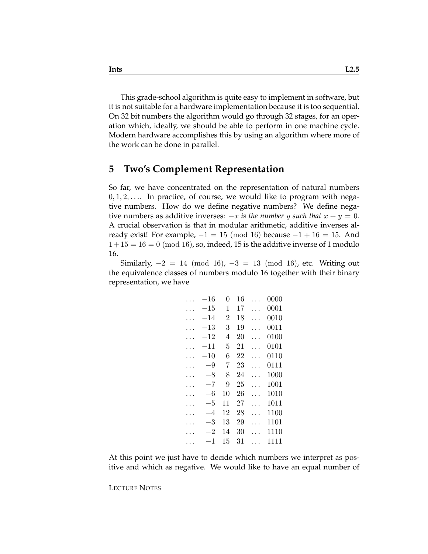This grade-school algorithm is quite easy to implement in software, but it is not suitable for a hardware implementation because it is too sequential. On 32 bit numbers the algorithm would go through 32 stages, for an operation which, ideally, we should be able to perform in one machine cycle. Modern hardware accomplishes this by using an algorithm where more of the work can be done in parallel.

## **5 Two's Complement Representation**

So far, we have concentrated on the representation of natural numbers  $0, 1, 2, \ldots$  In practice, of course, we would like to program with negative numbers. How do we define negative numbers? We define negative numbers as additive inverses:  $-x$  *is the number y such that*  $x + y = 0$ . A crucial observation is that in modular arithmetic, additive inverses already exist! For example,  $-1 = 15 \pmod{16}$  because  $-1 + 16 = 15$ . And  $1+15=16=0$  (mod 16), so, indeed, 15 is the additive inverse of 1 modulo 16.

Similarly,  $-2 = 14 \pmod{16}$ ,  $-3 = 13 \pmod{16}$ , etc. Writing out the equivalence classes of numbers modulo 16 together with their binary representation, we have

| $-16\,$      | 0              | 16 | 0000 |
|--------------|----------------|----|------|
| $-15\,$      | 1              | 17 | 0001 |
| –14          | $\overline{2}$ | 18 | 0010 |
| $-13$        | 3              | 19 | 0011 |
| $^{\rm -12}$ | 4              | 20 | 0100 |
| -11          | 5              | 21 | 0101 |
| $-10\,$      | 6              | 22 | 0110 |
| $^{-9}$      | 7              | 23 | 0111 |
| $-8$         | 8              | 24 | 1000 |
| -7           | 9              | 25 | 1001 |
| -6           | 10             | 26 | 1010 |
| -5           | 11             | 27 | 1011 |
| -4           | 12             | 28 | 1100 |
| –3           | 13             | 29 | 1101 |
| -2           | 14             | 30 | 1110 |
| 1            | 15             | 31 | 1111 |
|              |                |    |      |

At this point we just have to decide which numbers we interpret as positive and which as negative. We would like to have an equal number of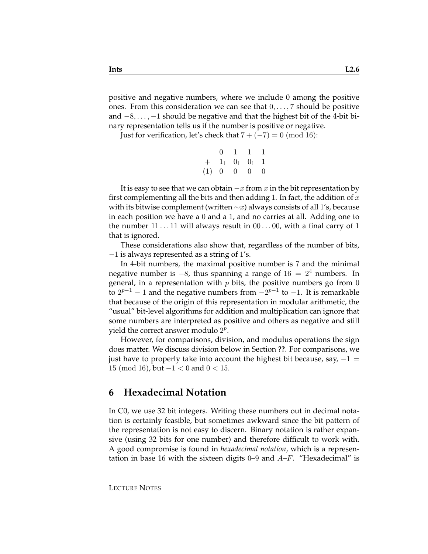positive and negative numbers, where we include 0 among the positive ones. From this consideration we can see that  $0, \ldots, 7$  should be positive and −8, . . . , −1 should be negative and that the highest bit of the 4-bit binary representation tells us if the number is positive or negative.

Just for verification, let's check that  $7 + (-7) = 0 \pmod{16}$ :

|     | $\mathbf{0}$        |                  |                  |          |
|-----|---------------------|------------------|------------------|----------|
| $+$ | $1_1$ $0_1$ $0_1$ 1 |                  |                  |          |
| (1) | $\theta$            | $\left( \right)$ | $\left( \right)$ | $\Omega$ |

It is easy to see that we can obtain  $-x$  from x in the bit representation by first complementing all the bits and then adding 1. In fact, the addition of  $x$ with its bitwise complement (written  $\sim x$ ) always consists of all 1's, because in each position we have a 0 and a 1, and no carries at all. Adding one to the number  $11 \dots 11$  will always result in  $00 \dots 00$ , with a final carry of 1 that is ignored.

These considerations also show that, regardless of the number of bits,  $-1$  is always represented as a string of 1's.

In 4-bit numbers, the maximal positive number is 7 and the minimal negative number is  $-8$ , thus spanning a range of  $16 = 2<sup>4</sup>$  numbers. In general, in a representation with  $p$  bits, the positive numbers go from 0 to  $2^{p-1}$  − 1 and the negative numbers from  $-2^{p-1}$  to −1. It is remarkable that because of the origin of this representation in modular arithmetic, the "usual" bit-level algorithms for addition and multiplication can ignore that some numbers are interpreted as positive and others as negative and still yield the correct answer modulo  $2^p$ .

However, for comparisons, division, and modulus operations the sign does matter. We discuss division below in Section **??**. For comparisons, we just have to properly take into account the highest bit because, say,  $-1 =$ 15 (mod 16), but  $-1 < 0$  and  $0 < 15$ .

## **6 Hexadecimal Notation**

In C0, we use 32 bit integers. Writing these numbers out in decimal notation is certainly feasible, but sometimes awkward since the bit pattern of the representation is not easy to discern. Binary notation is rather expansive (using 32 bits for one number) and therefore difficult to work with. A good compromise is found in *hexadecimal notation*, which is a representation in base 16 with the sixteen digits 0–9 and  $A-F$ . "Hexadecimal" is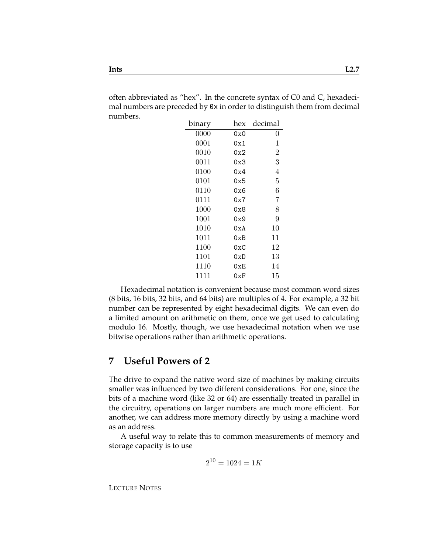often abbreviated as "hex". In the concrete syntax of C0 and C, hexadecimal numbers are preceded by 0x in order to distinguish them from decimal numbers.

| binary | hex            | decimal |
|--------|----------------|---------|
| 0000   | 0x0            | 0       |
| 0001   | 0x1            | 1       |
| 0010   | 0x2            | 2       |
| 0011   | 0x3            | 3       |
| 0100   | 0x4            | 4       |
| 0101   | 0x5            | 5       |
| 0110   | 0x6            | 6       |
| 0111   | 0x7            | 7       |
| 1000   | 0x8            | 8       |
| 1001   | 0x9            | 9       |
| 1010   | 0xA            | 10      |
| 1011   | 0xB            | 11      |
| 1100   | 0xC            | 12      |
| 1101   | 0xD            | 13      |
| 1110   | $0\mathrm{xE}$ | 14      |
| 1111   | 0xF            | 15      |

Hexadecimal notation is convenient because most common word sizes (8 bits, 16 bits, 32 bits, and 64 bits) are multiples of 4. For example, a 32 bit number can be represented by eight hexadecimal digits. We can even do a limited amount on arithmetic on them, once we get used to calculating modulo 16. Mostly, though, we use hexadecimal notation when we use bitwise operations rather than arithmetic operations.

## **7 Useful Powers of 2**

The drive to expand the native word size of machines by making circuits smaller was influenced by two different considerations. For one, since the bits of a machine word (like 32 or 64) are essentially treated in parallel in the circuitry, operations on larger numbers are much more efficient. For another, we can address more memory directly by using a machine word as an address.

A useful way to relate this to common measurements of memory and storage capacity is to use

$$
2^{10} = 1024 = 1K
$$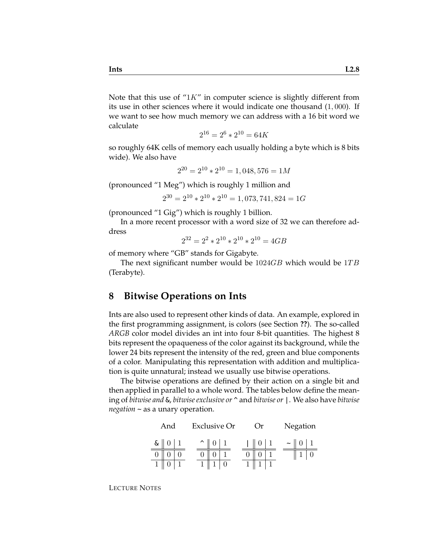Note that this use of " $1K$ " in computer science is slightly different from its use in other sciences where it would indicate one thousand (1, 000). If we want to see how much memory we can address with a 16 bit word we calculate

$$
2^{16} = 2^6 \times 2^{10} = 64K
$$

so roughly 64K cells of memory each usually holding a byte which is 8 bits wide). We also have

$$
2^{20} = 2^{10} \times 2^{10} = 1,048,576 = 1M
$$

(pronounced "1 Meg") which is roughly 1 million and

$$
2^{30} = 2^{10} \times 2^{10} \times 2^{10} = 1,073,741,824 = 1G
$$

(pronounced "1 Gig") which is roughly 1 billion.

In a more recent processor with a word size of 32 we can therefore address

$$
2^{32} = 2^2 \times 2^{10} \times 2^{10} \times 2^{10} = 4GB
$$

of memory where "GB" stands for Gigabyte.

The next significant number would be  $1024GB$  which would be  $1TB$ (Terabyte).

## **8 Bitwise Operations on Ints**

Ints are also used to represent other kinds of data. An example, explored in the first programming assignment, is colors (see Section **??**). The so-called *ARGB* color model divides an int into four 8-bit quantities. The highest 8 bits represent the opaqueness of the color against its background, while the lower 24 bits represent the intensity of the red, green and blue components of a color. Manipulating this representation with addition and multiplication is quite unnatural; instead we usually use bitwise operations.

The bitwise operations are defined by their action on a single bit and then applied in parallel to a whole word. The tables below define the meaning of *bitwise and* &, *bitwise exclusive or* ^ and *bitwise or* |. We also have *bitwise negation* ~ as a unary operation.

|   | And |  |                     | <b>Exclusive Or</b> |  | ( )r |  |        | Negation |  |
|---|-----|--|---------------------|---------------------|--|------|--|--------|----------|--|
| ଟ |     |  | $\hat{\phantom{a}}$ |                     |  |      |  | $\sim$ |          |  |
|   |     |  |                     |                     |  |      |  |        |          |  |
|   |     |  |                     |                     |  |      |  |        |          |  |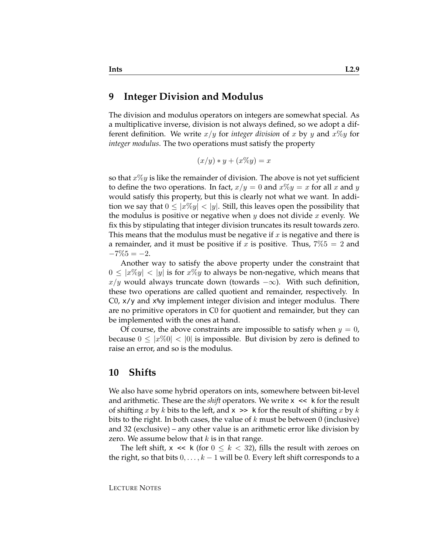#### **9 Integer Division and Modulus**

The division and modulus operators on integers are somewhat special. As a multiplicative inverse, division is not always defined, so we adopt a different definition. We write  $x/y$  for *integer division* of x by y and  $x\%y$  for *integer modulus*. The two operations must satisfy the property

$$
(x/y) * y + (x\%y) = x
$$

so that  $x\%y$  is like the remainder of division. The above is not yet sufficient to define the two operations. In fact,  $x/y = 0$  and  $x\%y = x$  for all x and y would satisfy this property, but this is clearly not what we want. In addition we say that  $0 \leq |x\%y| < |y|$ . Still, this leaves open the possibility that the modulus is positive or negative when  $y$  does not divide  $x$  evenly. We fix this by stipulating that integer division truncates its result towards zero. This means that the modulus must be negative if  $x$  is negative and there is a remainder, and it must be positive if x is positive. Thus,  $7\%5 = 2$  and  $-7\%5 = -2.$ 

Another way to satisfy the above property under the constraint that  $0 \leq |x\%y| < |y|$  is for  $x\%y$  to always be non-negative, which means that  $x/y$  would always truncate down (towards  $-\infty$ ). With such definition, these two operations are called quotient and remainder, respectively. In C0, x/y and x%y implement integer division and integer modulus. There are no primitive operators in C0 for quotient and remainder, but they can be implemented with the ones at hand.

Of course, the above constraints are impossible to satisfy when  $y = 0$ , because  $0 \leq |x\%0| < |0|$  is impossible. But division by zero is defined to raise an error, and so is the modulus.

#### **10 Shifts**

We also have some hybrid operators on ints, somewhere between bit-level and arithmetic. These are the *shift* operators. We write  $x \leq k$  for the result of shifting x by k bits to the left, and  $x \gg k$  for the result of shifting x by k bits to the right. In both cases, the value of  $k$  must be between 0 (inclusive) and 32 (exclusive) – any other value is an arithmetic error like division by zero. We assume below that  $k$  is in that range.

The left shift,  $x \ll k$  (for  $0 \leq k < 32$ ), fills the result with zeroes on the right, so that bits  $0, \ldots, k-1$  will be 0. Every left shift corresponds to a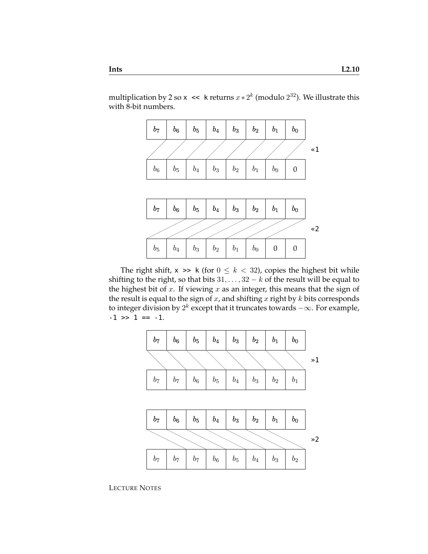multiplication by 2 so x  $\prec$  k returns  $x * 2^k$  (modulo  $2^{32}$ ). We illustrate this with 8-bit numbers.



The right shift,  $x \gg k$  (for  $0 \le k < 32$ ), copies the highest bit while shifting to the right, so that bits  $31, \ldots, 32 - k$  of the result will be equal to the highest bit of  $x$ . If viewing  $x$  as an integer, this means that the sign of the result is equal to the sign of  $x$ , and shifting  $x$  right by  $k$  bits corresponds to integer division by  $2^k$  except that it truncates towards  $-\infty$ . For example,  $-1$  >>  $1 == -1$ .



LECTURE NOTES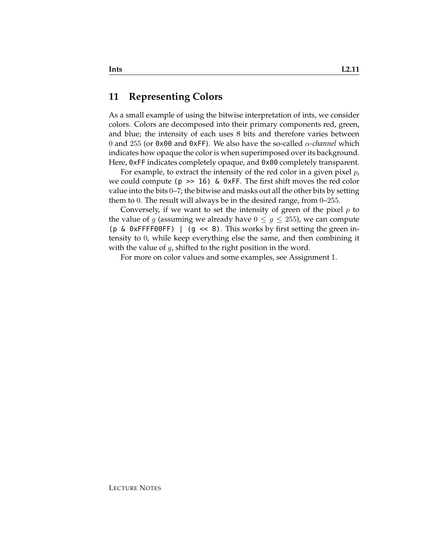## **11 Representing Colors**

As a small example of using the bitwise interpretation of ints, we consider colors. Colors are decomposed into their primary components red, green, and blue; the intensity of each uses 8 bits and therefore varies between 0 and 255 (or 0x00 and 0xFF). We also have the so-called α*-channel* which indicates how opaque the color is when superimposed over its background. Here, 0xFF indicates completely opaque, and 0x00 completely transparent.

For example, to extract the intensity of the red color in a given pixel  $p$ , we could compute ( $p \gg 16$ ) & 0xFF. The first shift moves the red color value into the bits 0–7; the bitwise and masks out all the other bits by setting them to 0. The result will always be in the desired range, from 0–255.

Conversely, if we want to set the intensity of green of the pixel  $p$  to the value of g (assuming we already have  $0 \leq g \leq 255$ ), we can compute (p & 0xFFFF00FF) | (g  $\ll$  8). This works by first setting the green intensity to 0, while keep everything else the same, and then combining it with the value of  $q$ , shifted to the right position in the word.

For more on color values and some examples, see Assignment 1.